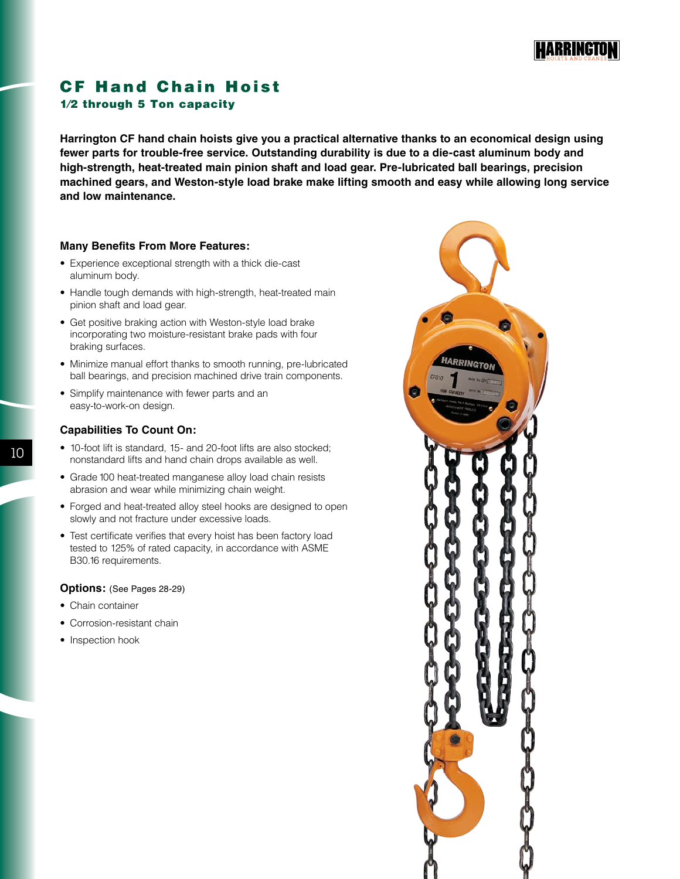

## CF Hand Chain Hoist 1⁄2 through 5 Ton capacity

**Harrington CF hand chain hoists give you a practical alternative thanks to an economical design using fewer parts for trouble-free service. Outstanding durability is due to a die-cast aluminum body and high-strength, heat-treated main pinion shaft and load gear. Pre-lubricated ball bearings, precision machined gears, and Weston-style load brake make lifting smooth and easy while allowing long service and low maintenance.**

## **Many Benefits From More Features:**

- Experience exceptional strength with a thick die-cast aluminum body.
- Handle tough demands with high-strength, heat-treated main pinion shaft and load gear.
- Get positive braking action with Weston-style load brake incorporating two moisture-resistant brake pads with four braking surfaces.
- Minimize manual effort thanks to smooth running, pre-lubricated ball bearings, and precision machined drive train components.
- Simplify maintenance with fewer parts and an easy-to-work-on design.

## **Capabilities To Count On:**

- 10-foot lift is standard, 15- and 20-foot lifts are also stocked; nonstandard lifts and hand chain drops available as well.
- Grade 100 heat-treated manganese alloy load chain resists abrasion and wear while minimizing chain weight.
- Forged and heat-treated alloy steel hooks are designed to open slowly and not fracture under excessive loads.
- Test certificate verifies that every hoist has been factory load tested to 125% of rated capacity, in accordance with ASME B30.16 requirements.

## **Options:** (See Pages 28-29)

- Chain container
- Corrosion-resistant chain
- Inspection hook



10